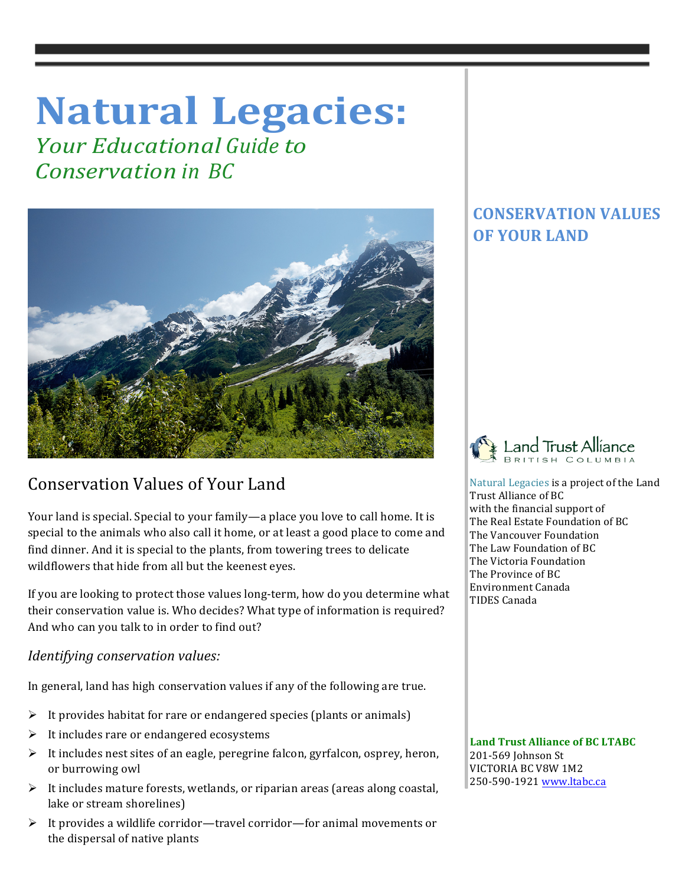# **Natural Legacies:**

*<u>Your Educational Guide to</u> Conservation in BC*



# Conservation Values of Your Land

Your land is special. Special to your family—a place you love to call home. It is special to the animals who also call it home, or at least a good place to come and find dinner. And it is special to the plants, from towering trees to delicate wildflowers that hide from all but the keenest eyes.

If you are looking to protect those values long-term, how do you determine what their conservation value is. Who decides? What type of information is required? And who can you talk to in order to find out?

## *Identifying conservation values:*

In general, land has high conservation values if any of the following are true.

- $\triangleright$  It provides habitat for rare or endangered species (plants or animals)
- $\triangleright$  It includes rare or endangered ecosystems
- $\triangleright$  It includes nest sites of an eagle, peregrine falcon, gyrfalcon, osprey, heron, or burrowing owl
- $\triangleright$  It includes mature forests, wetlands, or riparian areas (areas along coastal, lake or stream shorelines)
- $\triangleright$  It provides a wildlife corridor—travel corridor—for animal movements or the dispersal of native plants

## **CONSERVATION VALUES OF YOUR LAND**

 $\mathbb{I}$ 



Natural Legacies is a project of the Land Trust Alliance of BC with the financial support of The Real Estate Foundation of BC The Vancouver Foundation The Law Foundation of BC The Victoria Foundation The Province of BC Environment Canada TIDES Canada

Land Trust Alliance of **BC LTABC** 201-569 Johnson St VICTORIA BC V8W 1M2 250-590-1921 www.ltabc.ca